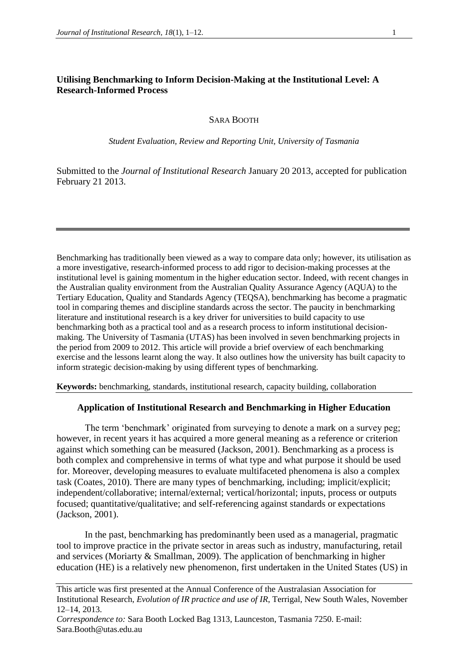# **Utilising Benchmarking to Inform Decision-Making at the Institutional Level: A Research-Informed Process**

### SARA BOOTH

*Student Evaluation, Review and Reporting Unit, University of Tasmania* 

Submitted to the *Journal of Institutional Research* January 20 2013, accepted for publication February 21 2013.

Benchmarking has traditionally been viewed as a way to compare data only; however, its utilisation as a more investigative, research-informed process to add rigor to decision-making processes at the institutional level is gaining momentum in the higher education sector. Indeed, with recent changes in the Australian quality environment from the Australian Quality Assurance Agency (AQUA) to the Tertiary Education, Quality and Standards Agency (TEQSA), benchmarking has become a pragmatic tool in comparing themes and discipline standards across the sector. The paucity in benchmarking literature and institutional research is a key driver for universities to build capacity to use benchmarking both as a practical tool and as a research process to inform institutional decisionmaking. The University of Tasmania (UTAS) has been involved in seven benchmarking projects in the period from 2009 to 2012. This article will provide a brief overview of each benchmarking exercise and the lessons learnt along the way. It also outlines how the university has built capacity to inform strategic decision-making by using different types of benchmarking.

**Keywords:** benchmarking, standards, institutional research, capacity building, collaboration

### **Application of Institutional Research and Benchmarking in Higher Education**

The term 'benchmark' originated from surveying to denote a mark on a survey peg; however, in recent years it has acquired a more general meaning as a reference or criterion against which something can be measured (Jackson, 2001). Benchmarking as a process is both complex and comprehensive in terms of what type and what purpose it should be used for. Moreover, developing measures to evaluate multifaceted phenomena is also a complex task (Coates, 2010). There are many types of benchmarking, including; implicit/explicit; independent/collaborative; internal/external; vertical/horizontal; inputs, process or outputs focused; quantitative/qualitative; and self-referencing against standards or expectations (Jackson, 2001).

In the past, benchmarking has predominantly been used as a managerial, pragmatic tool to improve practice in the private sector in areas such as industry, manufacturing, retail and services (Moriarty & Smallman, 2009). The application of benchmarking in higher education (HE) is a relatively new phenomenon, first undertaken in the United States (US) in

This article was first presented at the Annual Conference of the Australasian Association for Institutional Research, *Evolution of IR practice and use of IR*, Terrigal, New South Wales, November 12–14, 2013.

*Correspondence to:* Sara Booth Locked Bag 1313, Launceston, Tasmania 7250. E-mail: Sara.Booth@utas.edu.au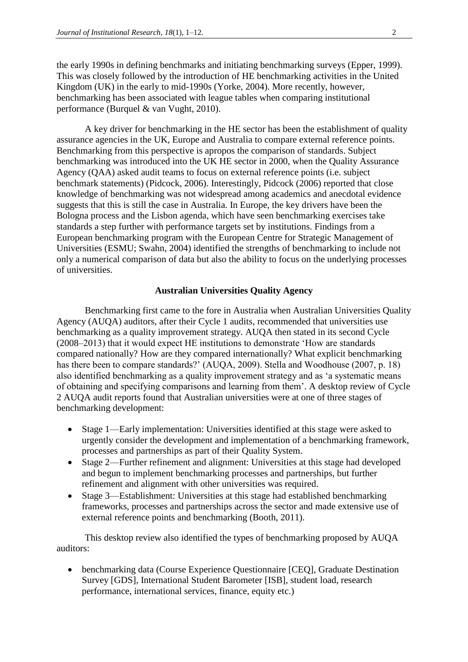the early 1990s in defining benchmarks and initiating benchmarking surveys (Epper, 1999). This was closely followed by the introduction of HE benchmarking activities in the United Kingdom (UK) in the early to mid-1990s (Yorke, 2004). More recently, however, benchmarking has been associated with league tables when comparing institutional performance (Burquel & van Vught, 2010).

A key driver for benchmarking in the HE sector has been the establishment of quality assurance agencies in the UK, Europe and Australia to compare external reference points. Benchmarking from this perspective is apropos the comparison of standards. Subject benchmarking was introduced into the UK HE sector in 2000, when the Quality Assurance Agency (QAA) asked audit teams to focus on external reference points (i.e. subject benchmark statements) (Pidcock, 2006). Interestingly, Pidcock (2006) reported that close knowledge of benchmarking was not widespread among academics and anecdotal evidence suggests that this is still the case in Australia. In Europe, the key drivers have been the Bologna process and the Lisbon agenda, which have seen benchmarking exercises take standards a step further with performance targets set by institutions. Findings from a European benchmarking program with the European Centre for Strategic Management of Universities (ESMU; Swahn, 2004) identified the strengths of benchmarking to include not only a numerical comparison of data but also the ability to focus on the underlying processes of universities.

### **Australian Universities Quality Agency**

Benchmarking first came to the fore in Australia when Australian Universities Quality Agency (AUQA) auditors, after their Cycle 1 audits, recommended that universities use benchmarking as a quality improvement strategy. AUQA then stated in its second Cycle (2008–2013) that it would expect HE institutions to demonstrate 'How are standards compared nationally? How are they compared internationally? What explicit benchmarking has there been to compare standards?' (AUQA, 2009). Stella and Woodhouse (2007, p. 18) also identified benchmarking as a quality improvement strategy and as 'a systematic means of obtaining and specifying comparisons and learning from them'. A desktop review of Cycle 2 AUQA audit reports found that Australian universities were at one of three stages of benchmarking development:

- Stage 1—Early implementation: Universities identified at this stage were asked to urgently consider the development and implementation of a benchmarking framework, processes and partnerships as part of their Quality System.
- Stage 2—Further refinement and alignment: Universities at this stage had developed and begun to implement benchmarking processes and partnerships, but further refinement and alignment with other universities was required.
- Stage 3—Establishment: Universities at this stage had established benchmarking frameworks, processes and partnerships across the sector and made extensive use of external reference points and benchmarking (Booth, 2011).

This desktop review also identified the types of benchmarking proposed by AUQA auditors:

 benchmarking data (Course Experience Questionnaire [CEQ], Graduate Destination Survey [GDS], International Student Barometer [ISB], student load, research performance, international services, finance, equity etc.)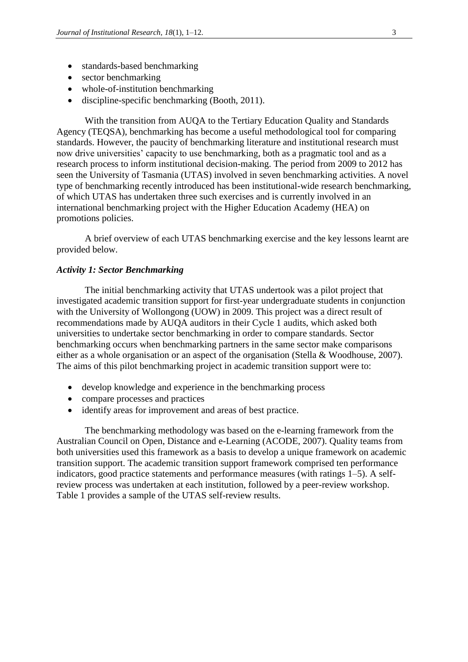- standards-based benchmarking
- sector benchmarking
- whole-of-institution benchmarking
- discipline-specific benchmarking (Booth, 2011).

With the transition from AUQA to the Tertiary Education Quality and Standards Agency (TEQSA), benchmarking has become a useful methodological tool for comparing standards. However, the paucity of benchmarking literature and institutional research must now drive universities' capacity to use benchmarking, both as a pragmatic tool and as a research process to inform institutional decision-making. The period from 2009 to 2012 has seen the University of Tasmania (UTAS) involved in seven benchmarking activities. A novel type of benchmarking recently introduced has been institutional-wide research benchmarking, of which UTAS has undertaken three such exercises and is currently involved in an international benchmarking project with the Higher Education Academy (HEA) on promotions policies.

A brief overview of each UTAS benchmarking exercise and the key lessons learnt are provided below.

#### *Activity 1: Sector Benchmarking*

The initial benchmarking activity that UTAS undertook was a pilot project that investigated academic transition support for first-year undergraduate students in conjunction with the University of Wollongong (UOW) in 2009. This project was a direct result of recommendations made by AUQA auditors in their Cycle 1 audits, which asked both universities to undertake sector benchmarking in order to compare standards. Sector benchmarking occurs when benchmarking partners in the same sector make comparisons either as a whole organisation or an aspect of the organisation (Stella & Woodhouse, 2007). The aims of this pilot benchmarking project in academic transition support were to:

- develop knowledge and experience in the benchmarking process
- compare processes and practices
- identify areas for improvement and areas of best practice.

The benchmarking methodology was based on the e-learning framework from the Australian Council on Open, Distance and e-Learning (ACODE, 2007). Quality teams from both universities used this framework as a basis to develop a unique framework on academic transition support. The academic transition support framework comprised ten performance indicators, good practice statements and performance measures (with ratings 1–5). A selfreview process was undertaken at each institution, followed by a peer-review workshop. Table 1 provides a sample of the UTAS self-review results.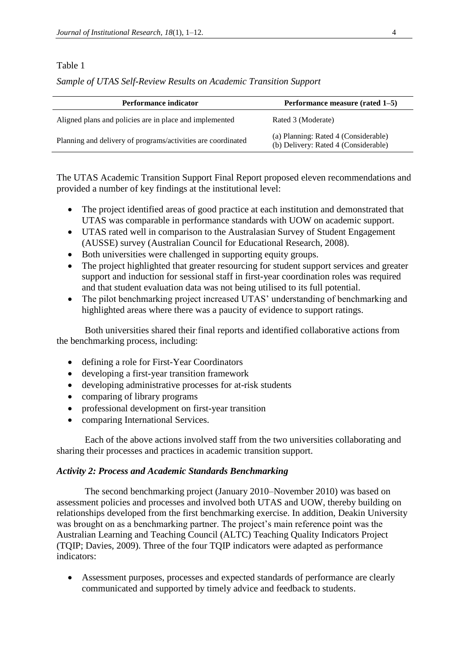## Table 1

*Sample of UTAS Self-Review Results on Academic Transition Support*

| <b>Performance indicator</b>                                 | Performance measure (rated 1–5)                                              |
|--------------------------------------------------------------|------------------------------------------------------------------------------|
| Aligned plans and policies are in place and implemented      | Rated 3 (Moderate)                                                           |
| Planning and delivery of programs/activities are coordinated | (a) Planning: Rated 4 (Considerable)<br>(b) Delivery: Rated 4 (Considerable) |

The UTAS Academic Transition Support Final Report proposed eleven recommendations and provided a number of key findings at the institutional level:

- The project identified areas of good practice at each institution and demonstrated that UTAS was comparable in performance standards with UOW on academic support.
- UTAS rated well in comparison to the Australasian Survey of Student Engagement (AUSSE) survey (Australian Council for Educational Research, 2008).
- Both universities were challenged in supporting equity groups.
- The project highlighted that greater resourcing for student support services and greater support and induction for sessional staff in first-year coordination roles was required and that student evaluation data was not being utilised to its full potential.
- The pilot benchmarking project increased UTAS' understanding of benchmarking and highlighted areas where there was a paucity of evidence to support ratings.

Both universities shared their final reports and identified collaborative actions from the benchmarking process, including:

- defining a role for First-Year Coordinators
- developing a first-year transition framework
- developing administrative processes for at-risk students
- comparing of library programs
- professional development on first-year transition
- comparing International Services.

Each of the above actions involved staff from the two universities collaborating and sharing their processes and practices in academic transition support.

### *Activity 2: Process and Academic Standards Benchmarking*

The second benchmarking project (January 2010–November 2010) was based on assessment policies and processes and involved both UTAS and UOW, thereby building on relationships developed from the first benchmarking exercise. In addition, Deakin University was brought on as a benchmarking partner. The project's main reference point was the Australian Learning and Teaching Council (ALTC) Teaching Quality Indicators Project (TQIP; Davies, 2009). Three of the four TQIP indicators were adapted as performance indicators:

 Assessment purposes, processes and expected standards of performance are clearly communicated and supported by timely advice and feedback to students.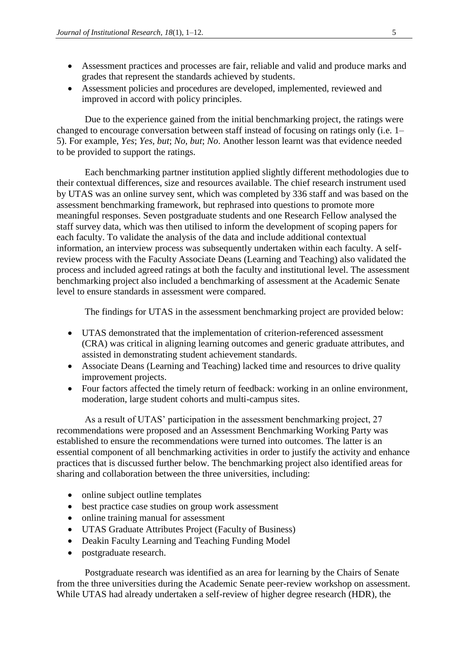- Assessment practices and processes are fair, reliable and valid and produce marks and grades that represent the standards achieved by students.
- Assessment policies and procedures are developed, implemented, reviewed and improved in accord with policy principles.

Due to the experience gained from the initial benchmarking project, the ratings were changed to encourage conversation between staff instead of focusing on ratings only (i.e. 1– 5). For example, *Yes*; *Yes, but*; *No*, *but*; *No*. Another lesson learnt was that evidence needed to be provided to support the ratings.

Each benchmarking partner institution applied slightly different methodologies due to their contextual differences, size and resources available. The chief research instrument used by UTAS was an online survey sent, which was completed by 336 staff and was based on the assessment benchmarking framework, but rephrased into questions to promote more meaningful responses. Seven postgraduate students and one Research Fellow analysed the staff survey data, which was then utilised to inform the development of scoping papers for each faculty. To validate the analysis of the data and include additional contextual information, an interview process was subsequently undertaken within each faculty. A selfreview process with the Faculty Associate Deans (Learning and Teaching) also validated the process and included agreed ratings at both the faculty and institutional level. The assessment benchmarking project also included a benchmarking of assessment at the Academic Senate level to ensure standards in assessment were compared.

The findings for UTAS in the assessment benchmarking project are provided below:

- UTAS demonstrated that the implementation of criterion-referenced assessment (CRA) was critical in aligning learning outcomes and generic graduate attributes, and assisted in demonstrating student achievement standards.
- Associate Deans (Learning and Teaching) lacked time and resources to drive quality improvement projects.
- Four factors affected the timely return of feedback: working in an online environment, moderation, large student cohorts and multi-campus sites.

As a result of UTAS' participation in the assessment benchmarking project, 27 recommendations were proposed and an Assessment Benchmarking Working Party was established to ensure the recommendations were turned into outcomes. The latter is an essential component of all benchmarking activities in order to justify the activity and enhance practices that is discussed further below. The benchmarking project also identified areas for sharing and collaboration between the three universities, including:

- online subject outline templates
- best practice case studies on group work assessment
- online training manual for assessment
- UTAS Graduate Attributes Project (Faculty of Business)
- Deakin Faculty Learning and Teaching Funding Model
- postgraduate research.

Postgraduate research was identified as an area for learning by the Chairs of Senate from the three universities during the Academic Senate peer-review workshop on assessment. While UTAS had already undertaken a self-review of higher degree research (HDR), the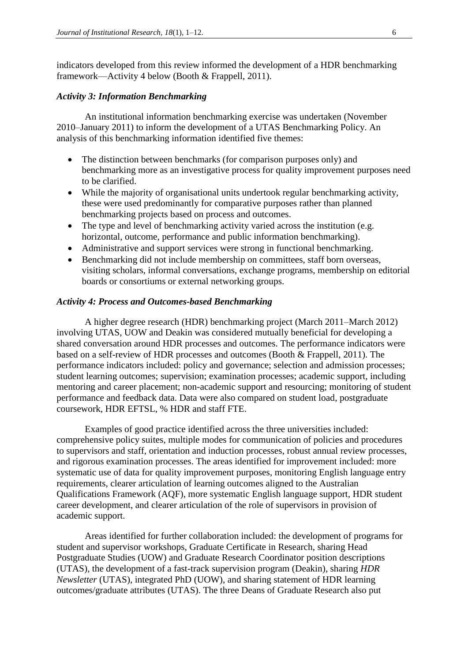indicators developed from this review informed the development of a HDR benchmarking framework—Activity 4 below (Booth & Frappell, 2011).

#### *Activity 3: Information Benchmarking*

An institutional information benchmarking exercise was undertaken (November 2010–January 2011) to inform the development of a UTAS Benchmarking Policy. An analysis of this benchmarking information identified five themes:

- The distinction between benchmarks (for comparison purposes only) and benchmarking more as an investigative process for quality improvement purposes need to be clarified.
- While the majority of organisational units undertook regular benchmarking activity, these were used predominantly for comparative purposes rather than planned benchmarking projects based on process and outcomes.
- The type and level of benchmarking activity varied across the institution (e.g. horizontal, outcome, performance and public information benchmarking).
- Administrative and support services were strong in functional benchmarking.
- Benchmarking did not include membership on committees, staff born overseas, visiting scholars, informal conversations, exchange programs, membership on editorial boards or consortiums or external networking groups.

### *Activity 4: Process and Outcomes-based Benchmarking*

A higher degree research (HDR) benchmarking project (March 2011–March 2012) involving UTAS, UOW and Deakin was considered mutually beneficial for developing a shared conversation around HDR processes and outcomes. The performance indicators were based on a self-review of HDR processes and outcomes (Booth & Frappell, 2011). The performance indicators included: policy and governance; selection and admission processes; student learning outcomes; supervision; examination processes; academic support, including mentoring and career placement; non-academic support and resourcing; monitoring of student performance and feedback data. Data were also compared on student load, postgraduate coursework, HDR EFTSL, % HDR and staff FTE.

Examples of good practice identified across the three universities included: comprehensive policy suites, multiple modes for communication of policies and procedures to supervisors and staff, orientation and induction processes, robust annual review processes, and rigorous examination processes. The areas identified for improvement included: more systematic use of data for quality improvement purposes, monitoring English language entry requirements, clearer articulation of learning outcomes aligned to the Australian Qualifications Framework (AQF), more systematic English language support, HDR student career development, and clearer articulation of the role of supervisors in provision of academic support.

Areas identified for further collaboration included: the development of programs for student and supervisor workshops, Graduate Certificate in Research, sharing Head Postgraduate Studies (UOW) and Graduate Research Coordinator position descriptions (UTAS), the development of a fast-track supervision program (Deakin), sharing *HDR Newsletter* (UTAS), integrated PhD (UOW), and sharing statement of HDR learning outcomes/graduate attributes (UTAS). The three Deans of Graduate Research also put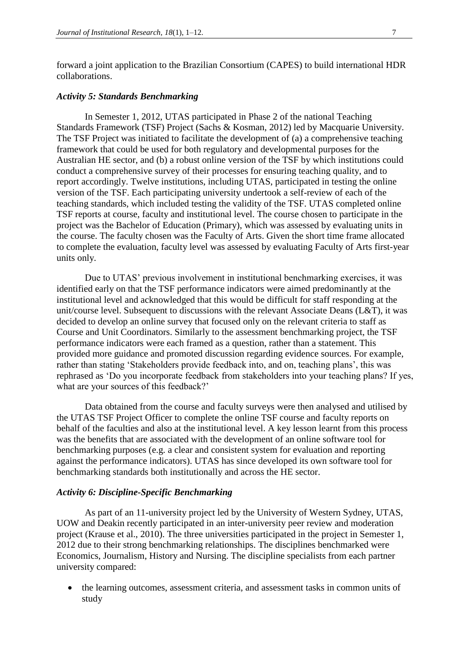forward a joint application to the Brazilian Consortium (CAPES) to build international HDR collaborations.

#### *Activity 5: Standards Benchmarking*

In Semester 1, 2012, UTAS participated in Phase 2 of the national Teaching Standards Framework (TSF) Project (Sachs & Kosman, 2012) led by Macquarie University. The TSF Project was initiated to facilitate the development of (a) a comprehensive teaching framework that could be used for both regulatory and developmental purposes for the Australian HE sector, and (b) a robust online version of the TSF by which institutions could conduct a comprehensive survey of their processes for ensuring teaching quality, and to report accordingly. Twelve institutions, including UTAS, participated in testing the online version of the TSF. Each participating university undertook a self-review of each of the teaching standards, which included testing the validity of the TSF. UTAS completed online TSF reports at course, faculty and institutional level. The course chosen to participate in the project was the Bachelor of Education (Primary), which was assessed by evaluating units in the course. The faculty chosen was the Faculty of Arts. Given the short time frame allocated to complete the evaluation, faculty level was assessed by evaluating Faculty of Arts first-year units only.

Due to UTAS' previous involvement in institutional benchmarking exercises, it was identified early on that the TSF performance indicators were aimed predominantly at the institutional level and acknowledged that this would be difficult for staff responding at the unit/course level. Subsequent to discussions with the relevant Associate Deans (L&T), it was decided to develop an online survey that focused only on the relevant criteria to staff as Course and Unit Coordinators. Similarly to the assessment benchmarking project, the TSF performance indicators were each framed as a question, rather than a statement. This provided more guidance and promoted discussion regarding evidence sources. For example, rather than stating 'Stakeholders provide feedback into, and on, teaching plans', this was rephrased as 'Do you incorporate feedback from stakeholders into your teaching plans? If yes, what are your sources of this feedback?'

Data obtained from the course and faculty surveys were then analysed and utilised by the UTAS TSF Project Officer to complete the online TSF course and faculty reports on behalf of the faculties and also at the institutional level. A key lesson learnt from this process was the benefits that are associated with the development of an online software tool for benchmarking purposes (e.g. a clear and consistent system for evaluation and reporting against the performance indicators). UTAS has since developed its own software tool for benchmarking standards both institutionally and across the HE sector.

### *Activity 6: Discipline-Specific Benchmarking*

As part of an 11-university project led by the University of Western Sydney, UTAS, UOW and Deakin recently participated in an inter-university peer review and moderation project (Krause et al., 2010). The three universities participated in the project in Semester 1, 2012 due to their strong benchmarking relationships. The disciplines benchmarked were Economics, Journalism, History and Nursing. The discipline specialists from each partner university compared:

 the learning outcomes, assessment criteria, and assessment tasks in common units of study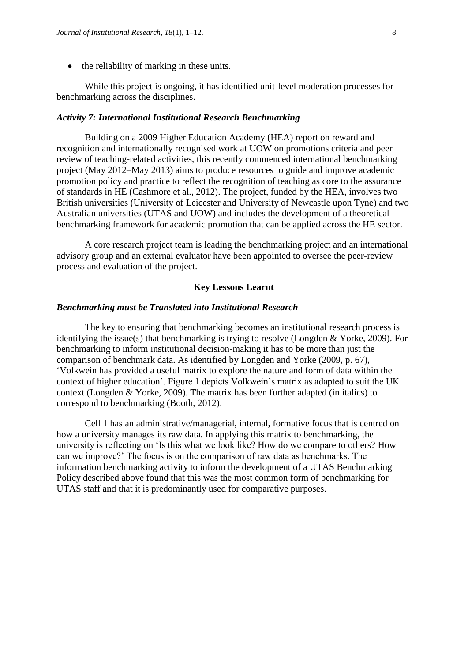• the reliability of marking in these units.

While this project is ongoing, it has identified unit-level moderation processes for benchmarking across the disciplines.

#### *Activity 7: International Institutional Research Benchmarking*

Building on a 2009 Higher Education Academy (HEA) report on reward and recognition and internationally recognised work at UOW on promotions criteria and peer review of teaching-related activities, this recently commenced international benchmarking project (May 2012–May 2013) aims to produce resources to guide and improve academic promotion policy and practice to reflect the recognition of teaching as core to the assurance of standards in HE (Cashmore et al., 2012). The project, funded by the HEA, involves two British universities (University of Leicester and University of Newcastle upon Tyne) and two Australian universities (UTAS and UOW) and includes the development of a theoretical benchmarking framework for academic promotion that can be applied across the HE sector.

A core research project team is leading the benchmarking project and an international advisory group and an external evaluator have been appointed to oversee the peer-review process and evaluation of the project.

#### **Key Lessons Learnt**

### *Benchmarking must be Translated into Institutional Research*

The key to ensuring that benchmarking becomes an institutional research process is identifying the issue(s) that benchmarking is trying to resolve (Longden & Yorke, 2009). For benchmarking to inform institutional decision-making it has to be more than just the comparison of benchmark data. As identified by Longden and Yorke (2009, p. 67), 'Volkwein has provided a useful matrix to explore the nature and form of data within the context of higher education'. Figure 1 depicts Volkwein's matrix as adapted to suit the UK context (Longden & Yorke, 2009). The matrix has been further adapted (in italics) to correspond to benchmarking (Booth, 2012).

Cell 1 has an administrative/managerial, internal, formative focus that is centred on how a university manages its raw data. In applying this matrix to benchmarking, the university is reflecting on 'Is this what we look like? How do we compare to others? How can we improve?' The focus is on the comparison of raw data as benchmarks. The information benchmarking activity to inform the development of a UTAS Benchmarking Policy described above found that this was the most common form of benchmarking for UTAS staff and that it is predominantly used for comparative purposes.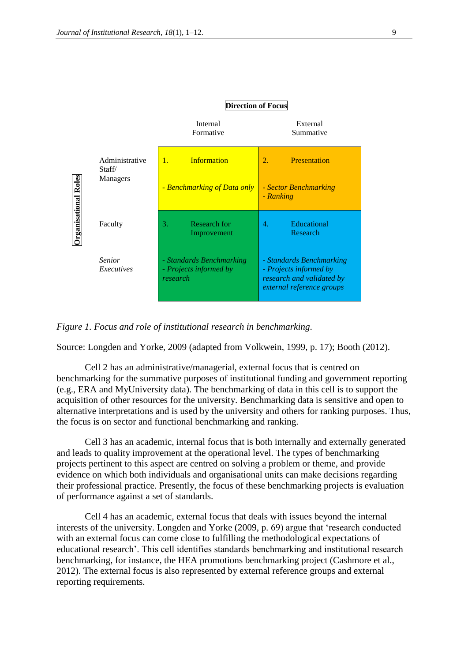

*Figure 1. Focus and role of institutional research in benchmarking.*

Source: Longden and Yorke, 2009 (adapted from Volkwein, 1999, p. 17); Booth (2012).

Cell 2 has an administrative/managerial, external focus that is centred on benchmarking for the summative purposes of institutional funding and government reporting (e.g., ERA and MyUniversity data). The benchmarking of data in this cell is to support the acquisition of other resources for the university. Benchmarking data is sensitive and open to alternative interpretations and is used by the university and others for ranking purposes. Thus, the focus is on sector and functional benchmarking and ranking.

Cell 3 has an academic, internal focus that is both internally and externally generated and leads to quality improvement at the operational level. The types of benchmarking projects pertinent to this aspect are centred on solving a problem or theme, and provide evidence on which both individuals and organisational units can make decisions regarding their professional practice. Presently, the focus of these benchmarking projects is evaluation of performance against a set of standards.

Cell 4 has an academic, external focus that deals with issues beyond the internal interests of the university. Longden and Yorke (2009, p. 69) argue that 'research conducted with an external focus can come close to fulfilling the methodological expectations of educational research'. This cell identifies standards benchmarking and institutional research benchmarking, for instance, the HEA promotions benchmarking project (Cashmore et al., 2012). The external focus is also represented by external reference groups and external reporting requirements.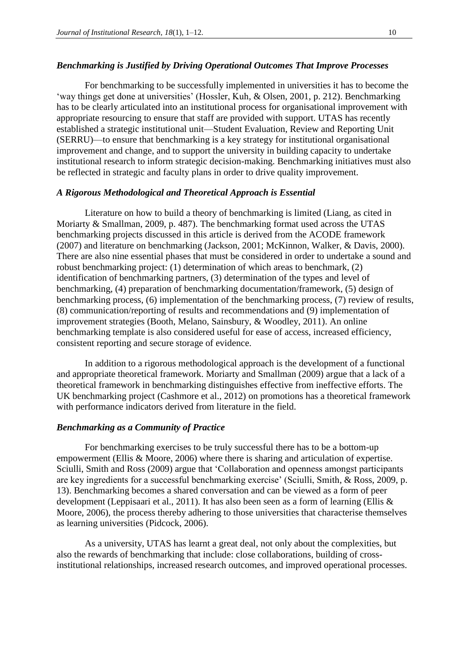#### *Benchmarking is Justified by Driving Operational Outcomes That Improve Processes*

For benchmarking to be successfully implemented in universities it has to become the 'way things get done at universities' (Hossler, Kuh, & Olsen, 2001, p. 212). Benchmarking has to be clearly articulated into an institutional process for organisational improvement with appropriate resourcing to ensure that staff are provided with support. UTAS has recently established a strategic institutional unit—Student Evaluation, Review and Reporting Unit (SERRU)—to ensure that benchmarking is a key strategy for institutional organisational improvement and change, and to support the university in building capacity to undertake institutional research to inform strategic decision-making. Benchmarking initiatives must also be reflected in strategic and faculty plans in order to drive quality improvement.

### *A Rigorous Methodological and Theoretical Approach is Essential*

Literature on how to build a theory of benchmarking is limited (Liang, as cited in Moriarty & Smallman, 2009, p. 487). The benchmarking format used across the UTAS benchmarking projects discussed in this article is derived from the ACODE framework (2007) and literature on benchmarking (Jackson, 2001; McKinnon, Walker, & Davis, 2000). There are also nine essential phases that must be considered in order to undertake a sound and robust benchmarking project: (1) determination of which areas to benchmark, (2) identification of benchmarking partners, (3) determination of the types and level of benchmarking, (4) preparation of benchmarking documentation/framework, (5) design of benchmarking process, (6) implementation of the benchmarking process, (7) review of results, (8) communication/reporting of results and recommendations and (9) implementation of improvement strategies (Booth, Melano, Sainsbury, & Woodley, 2011). An online benchmarking template is also considered useful for ease of access, increased efficiency, consistent reporting and secure storage of evidence.

In addition to a rigorous methodological approach is the development of a functional and appropriate theoretical framework. Moriarty and Smallman (2009) argue that a lack of a theoretical framework in benchmarking distinguishes effective from ineffective efforts. The UK benchmarking project (Cashmore et al., 2012) on promotions has a theoretical framework with performance indicators derived from literature in the field.

### *Benchmarking as a Community of Practice*

For benchmarking exercises to be truly successful there has to be a bottom-up empowerment (Ellis & Moore, 2006) where there is sharing and articulation of expertise. Sciulli, Smith and Ross (2009) argue that 'Collaboration and openness amongst participants are key ingredients for a successful benchmarking exercise' (Sciulli, Smith, & Ross, 2009, p. 13). Benchmarking becomes a shared conversation and can be viewed as a form of peer development (Leppisaari et al., 2011). It has also been seen as a form of learning (Ellis & Moore, 2006), the process thereby adhering to those universities that characterise themselves as learning universities (Pidcock, 2006).

As a university, UTAS has learnt a great deal, not only about the complexities, but also the rewards of benchmarking that include: close collaborations, building of crossinstitutional relationships, increased research outcomes, and improved operational processes.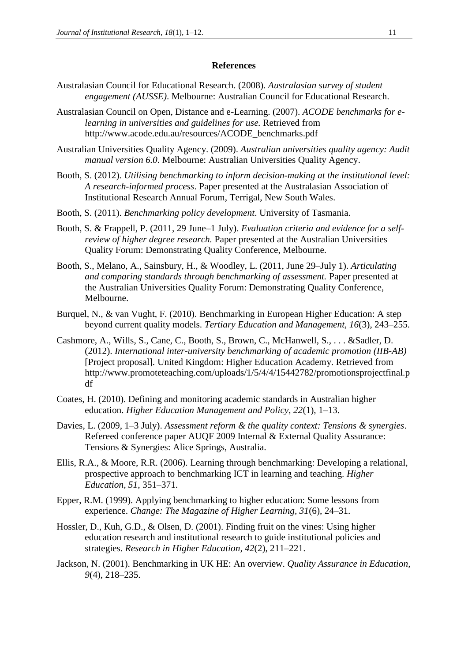#### **References**

- Australasian Council for Educational Research. (2008). *Australasian survey of student engagement (AUSSE)*. Melbourne: Australian Council for Educational Research.
- Australasian Council on Open, Distance and e-Learning. (2007). *ACODE benchmarks for elearning in universities and guidelines for use.* Retrieved from http://www.acode.edu.au/resources/ACODE\_benchmarks.pdf
- Australian Universities Quality Agency. (2009). *Australian universities quality agency: Audit manual version 6.0*. Melbourne: Australian Universities Quality Agency.
- Booth, S. (2012). *Utilising benchmarking to inform decision-making at the institutional level: A research-informed process*. Paper presented at the Australasian Association of Institutional Research Annual Forum, Terrigal, New South Wales.
- Booth, S. (2011). *Benchmarking policy development*. University of Tasmania.
- Booth, S. & Frappell, P. (2011, 29 June–1 July). *Evaluation criteria and evidence for a selfreview of higher degree research.* Paper presented at the Australian Universities Quality Forum: Demonstrating Quality Conference, Melbourne.
- Booth, S., Melano, A., Sainsbury, H., & Woodley, L. (2011, June 29–July 1). *Articulating and comparing standards through benchmarking of assessment.* Paper presented at the Australian Universities Quality Forum: Demonstrating Quality Conference, Melbourne.
- Burquel, N., & van Vught, F. (2010). Benchmarking in European Higher Education: A step beyond current quality models. *Tertiary Education and Management, 16*(3), 243–255.
- Cashmore, A., Wills, S., Cane, C., Booth, S., Brown, C., McHanwell, S., . . . &Sadler, D. (2012). *International inter-university benchmarking of academic promotion (IIB-AB)* [Project proposal]*.* United Kingdom: Higher Education Academy. Retrieved from http://www.promoteteaching.com/uploads/1/5/4/4/15442782/promotionsprojectfinal.p df
- Coates, H. (2010). Defining and monitoring academic standards in Australian higher education. *Higher Education Management and Policy, 22*(1), 1–13.
- Davies, L. (2009, 1–3 July). *Assessment reform & the quality context: Tensions & synergies*. Refereed conference paper AUQF 2009 Internal & External Quality Assurance: Tensions & Synergies: Alice Springs, Australia.
- Ellis, R.A., & Moore, R.R. (2006). Learning through benchmarking: Developing a relational, prospective approach to benchmarking ICT in learning and teaching. *Higher Education, 51*, 351–371.
- Epper, R.M. (1999). Applying benchmarking to higher education: Some lessons from experience. *Change: The Magazine of Higher Learning, 31*(6), 24–31.
- Hossler, D., Kuh, G.D., & Olsen, D. (2001). Finding fruit on the vines: Using higher education research and institutional research to guide institutional policies and strategies. *Research in Higher Education, 42*(2), 211–221.
- Jackson, N. (2001). Benchmarking in UK HE: An overview. *Quality Assurance in Education, 9*(4), 218–235.